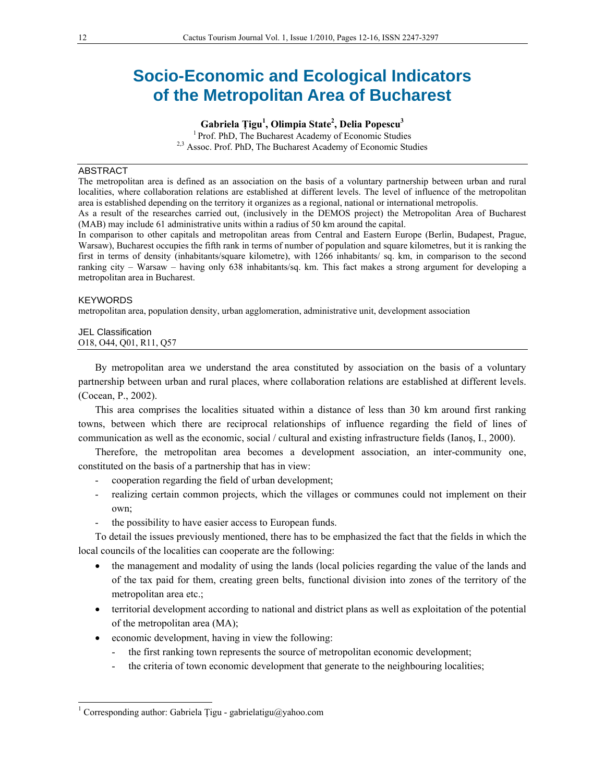# **Socio-Economic and Ecological Indicators of the Metropolitan Area of Bucharest**

**Gabriela Ţigu<sup>1</sup> , Olimpia State2 , Delia Popescu3**

1 Prof. PhD, The Bucharest Academy of Economic Studies <sup>2,3</sup> Assoc. Prof. PhD, The Bucharest Academy of Economic Studies

## ABSTRACT

The metropolitan area is defined as an association on the basis of a voluntary partnership between urban and rural localities, where collaboration relations are established at different levels. The level of influence of the metropolitan area is established depending on the territory it organizes as a regional, national or international metropolis.

As a result of the researches carried out, (inclusively in the DEMOS project) the Metropolitan Area of Bucharest (MAB) may include 61 administrative units within a radius of 50 km around the capital.

In comparison to other capitals and metropolitan areas from Central and Eastern Europe (Berlin, Budapest, Prague, Warsaw), Bucharest occupies the fifth rank in terms of number of population and square kilometres, but it is ranking the first in terms of density (inhabitants/square kilometre), with 1266 inhabitants/ sq. km, in comparison to the second ranking city – Warsaw – having only 638 inhabitants/sq. km. This fact makes a strong argument for developing a metropolitan area in Bucharest.

#### **KEYWORDS**

l

metropolitan area, population density, urban agglomeration, administrative unit, development association

### JEL Classification O18, O44, Q01, R11, Q57

By metropolitan area we understand the area constituted by association on the basis of a voluntary partnership between urban and rural places, where collaboration relations are established at different levels. (Cocean, P., 2002).

This area comprises the localities situated within a distance of less than 30 km around first ranking towns, between which there are reciprocal relationships of influence regarding the field of lines of communication as well as the economic, social / cultural and existing infrastructure fields (Ianoş, I., 2000).

Therefore, the metropolitan area becomes a development association, an inter-community one, constituted on the basis of a partnership that has in view:

- cooperation regarding the field of urban development;
- realizing certain common projects, which the villages or communes could not implement on their own;
- the possibility to have easier access to European funds.

To detail the issues previously mentioned, there has to be emphasized the fact that the fields in which the local councils of the localities can cooperate are the following:

- the management and modality of using the lands (local policies regarding the value of the lands and of the tax paid for them, creating green belts, functional division into zones of the territory of the metropolitan area etc.;
- territorial development according to national and district plans as well as exploitation of the potential of the metropolitan area (MA);
- economic development, having in view the following:
	- the first ranking town represents the source of metropolitan economic development;
	- the criteria of town economic development that generate to the neighbouring localities;

<sup>&</sup>lt;sup>1</sup> Corresponding author: Gabriela Țigu - gabrielatigu@yahoo.com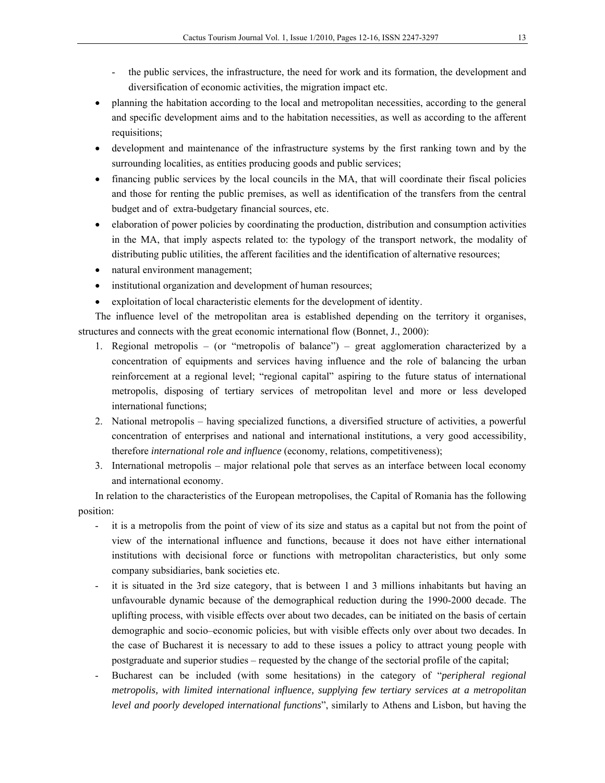- the public services, the infrastructure, the need for work and its formation, the development and diversification of economic activities, the migration impact etc.
- planning the habitation according to the local and metropolitan necessities, according to the general and specific development aims and to the habitation necessities, as well as according to the afferent requisitions;
- development and maintenance of the infrastructure systems by the first ranking town and by the surrounding localities, as entities producing goods and public services;
- financing public services by the local councils in the MA, that will coordinate their fiscal policies and those for renting the public premises, as well as identification of the transfers from the central budget and of extra-budgetary financial sources, etc.
- elaboration of power policies by coordinating the production, distribution and consumption activities in the MA, that imply aspects related to: the typology of the transport network, the modality of distributing public utilities, the afferent facilities and the identification of alternative resources;
- natural environment management;
- institutional organization and development of human resources;
- exploitation of local characteristic elements for the development of identity.

The influence level of the metropolitan area is established depending on the territory it organises, structures and connects with the great economic international flow (Bonnet, J., 2000):

- 1. Regional metropolis (or "metropolis of balance") great agglomeration characterized by a concentration of equipments and services having influence and the role of balancing the urban reinforcement at a regional level; "regional capital" aspiring to the future status of international metropolis, disposing of tertiary services of metropolitan level and more or less developed international functions;
- 2. National metropolis having specialized functions, a diversified structure of activities, a powerful concentration of enterprises and national and international institutions, a very good accessibility, therefore *international role and influence* (economy, relations, competitiveness);
- 3. International metropolis major relational pole that serves as an interface between local economy and international economy.

In relation to the characteristics of the European metropolises, the Capital of Romania has the following position:

- it is a metropolis from the point of view of its size and status as a capital but not from the point of view of the international influence and functions, because it does not have either international institutions with decisional force or functions with metropolitan characteristics, but only some company subsidiaries, bank societies etc.
- it is situated in the 3rd size category, that is between 1 and 3 millions inhabitants but having an unfavourable dynamic because of the demographical reduction during the 1990-2000 decade. The uplifting process, with visible effects over about two decades, can be initiated on the basis of certain demographic and socio–economic policies, but with visible effects only over about two decades. In the case of Bucharest it is necessary to add to these issues a policy to attract young people with postgraduate and superior studies – requested by the change of the sectorial profile of the capital;
- Bucharest can be included (with some hesitations) in the category of "*peripheral regional metropolis, with limited international influence, supplying few tertiary services at a metropolitan level and poorly developed international functions*", similarly to Athens and Lisbon, but having the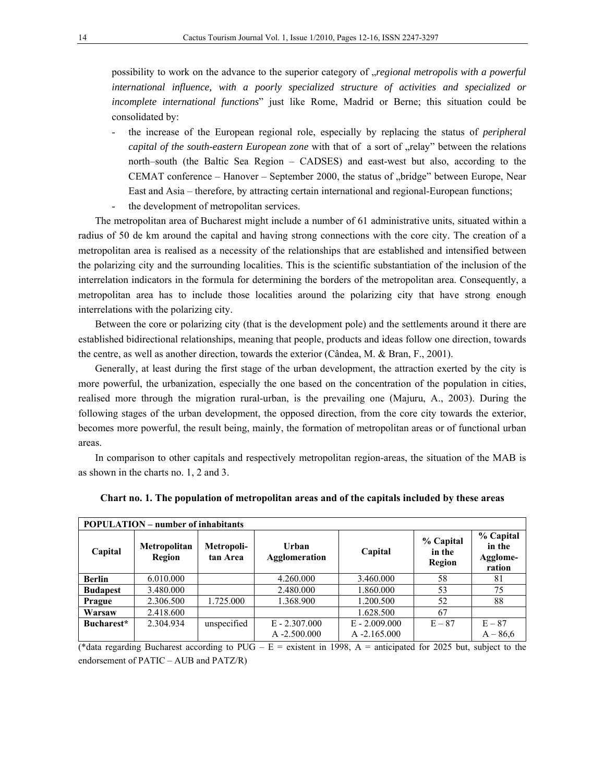possibility to work on the advance to the superior category of "*regional metropolis with a powerful international influence, with a poorly specialized structure of activities and specialized or incomplete international functions*" just like Rome, Madrid or Berne; this situation could be consolidated by:

- the increase of the European regional role, especially by replacing the status of *peripheral capital of the south-eastern European zone* with that of a sort of "relay" between the relations north–south (the Baltic Sea Region – CADSES) and east-west but also, according to the CEMAT conference – Hanover – September 2000, the status of "bridge" between Europe, Near East and Asia – therefore, by attracting certain international and regional-European functions;
- the development of metropolitan services.

The metropolitan area of Bucharest might include a number of 61 administrative units, situated within a radius of 50 de km around the capital and having strong connections with the core city. The creation of a metropolitan area is realised as a necessity of the relationships that are established and intensified between the polarizing city and the surrounding localities. This is the scientific substantiation of the inclusion of the interrelation indicators in the formula for determining the borders of the metropolitan area. Consequently, a metropolitan area has to include those localities around the polarizing city that have strong enough interrelations with the polarizing city.

Between the core or polarizing city (that is the development pole) and the settlements around it there are established bidirectional relationships, meaning that people, products and ideas follow one direction, towards the centre, as well as another direction, towards the exterior (Cândea, M. & Bran, F., 2001).

Generally, at least during the first stage of the urban development, the attraction exerted by the city is more powerful, the urbanization, especially the one based on the concentration of the population in cities, realised more through the migration rural-urban, is the prevailing one (Majuru, A., 2003). During the following stages of the urban development, the opposed direction, from the core city towards the exterior, becomes more powerful, the result being, mainly, the formation of metropolitan areas or of functional urban areas.

In comparison to other capitals and respectively metropolitan region-areas, the situation of the MAB is as shown in the charts no. 1, 2 and 3.

| <b>POPULATION</b> – number of inhabitants |                               |                        |                               |                 |                               |                                           |  |  |
|-------------------------------------------|-------------------------------|------------------------|-------------------------------|-----------------|-------------------------------|-------------------------------------------|--|--|
| Capital                                   | <b>Metropolitan</b><br>Region | Metropoli-<br>tan Area | Urban<br><b>Agglomeration</b> | Capital         | % Capital<br>in the<br>Region | % Capital<br>in the<br>Agglome-<br>ration |  |  |
| <b>Berlin</b>                             | 6.010.000                     |                        | 4.260.000                     | 3.460.000       | 58                            | 81                                        |  |  |
| <b>Budapest</b>                           | 3.480.000                     |                        | 2.480.000                     | 1.860.000       | 53                            | 75                                        |  |  |
| Prague                                    | 2.306.500                     | 1.725.000              | 1.368.900                     | 1.200.500       | 52                            | 88                                        |  |  |
| Warsaw                                    | 2.418.600                     |                        |                               | 1.628.500       | 67                            |                                           |  |  |
| Bucharest*                                | 2.304.934                     | unspecified            | $E - 2.307,000$               | $E - 2.009.000$ | $E - 87$                      | $E - 87$                                  |  |  |
|                                           |                               |                        | $A - 2.500.000$               | $A - 2.165.000$ |                               | $A - 86.6$                                |  |  |

|  |  |  | Chart no. 1. The population of metropolitan areas and of the capitals included by these areas |
|--|--|--|-----------------------------------------------------------------------------------------------|
|--|--|--|-----------------------------------------------------------------------------------------------|

(\*data regarding Bucharest according to PUG –  $E =$  existent in 1998, A = anticipated for 2025 but, subject to the endorsement of PATIC – AUB and PATZ/R)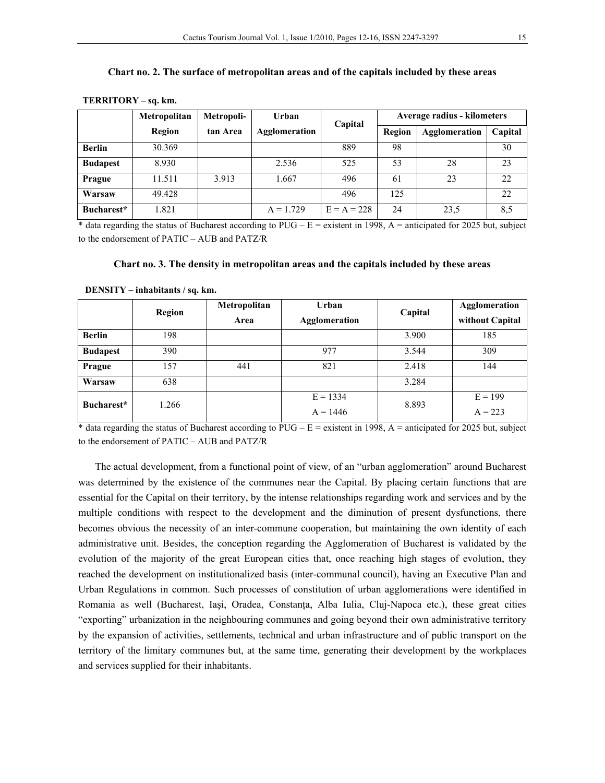| TERRITORY - sq. km. |              |            |               |         |                             |                      |         |  |
|---------------------|--------------|------------|---------------|---------|-----------------------------|----------------------|---------|--|
|                     | Metropolitan | Metropoli- | <b>Urban</b>  | Capital | Average radius - kilometers |                      |         |  |
|                     | Region       | tan Area   | Agglomeration |         | Region                      | <b>Agglomeration</b> | Capital |  |
| <b>Berlin</b>       | 30.369       |            |               | 889     | 98                          |                      | 30      |  |
| <b>Budapest</b>     | 8.930        |            | 2.536         | 525     | 53                          | 28                   | 23      |  |
| Prague              | 11.511       | 3.913      | 1.667         | 496     | 61                          | 23                   | 22      |  |
| Warsaw              | 49.428       |            |               | 496     | 125                         |                      | 22      |  |

**Chart no. 2. The surface of metropolitan areas and of the capitals included by these areas** 

\* data regarding the status of Bucharest according to PUG –  $E =$  existent in 1998, A = anticipated for 2025 but, subject to the endorsement of PATIC – AUB and PATZ/R

**Bucharest\*** 1.821 A = 1.729 E = A = 228 24 23,5 8,5

| Chart no. 3. The density in metropolitan areas and the capitals included by these areas |
|-----------------------------------------------------------------------------------------|
|-----------------------------------------------------------------------------------------|

|                 | Region | Metropolitan<br>Area | <b>Urban</b><br><b>Agglomeration</b> | Capital | Agglomeration<br>without Capital |
|-----------------|--------|----------------------|--------------------------------------|---------|----------------------------------|
| <b>Berlin</b>   | 198    |                      |                                      | 3.900   | 185                              |
| <b>Budapest</b> | 390    |                      | 977                                  | 3.544   | 309                              |
| Prague          | 157    | 441                  | 821                                  | 2.418   | 144                              |
| Warsaw          | 638    |                      |                                      | 3.284   |                                  |
| Bucharest*      | 1.266  |                      | $E = 1334$<br>$A = 1446$             | 8.893   | $E = 199$<br>$A = 223$           |

 **DENSITY – inhabitants / sq. km.** 

\* data regarding the status of Bucharest according to  $PUG - E =$  existent in 1998, A = anticipated for 2025 but, subject to the endorsement of PATIC – AUB and PATZ/R

The actual development, from a functional point of view, of an "urban agglomeration" around Bucharest was determined by the existence of the communes near the Capital. By placing certain functions that are essential for the Capital on their territory, by the intense relationships regarding work and services and by the multiple conditions with respect to the development and the diminution of present dysfunctions, there becomes obvious the necessity of an inter-commune cooperation, but maintaining the own identity of each administrative unit. Besides, the conception regarding the Agglomeration of Bucharest is validated by the evolution of the majority of the great European cities that, once reaching high stages of evolution, they reached the development on institutionalized basis (inter-communal council), having an Executive Plan and Urban Regulations in common. Such processes of constitution of urban agglomerations were identified in Romania as well (Bucharest, Iași, Oradea, Constanța, Alba Iulia, Cluj-Napoca etc.), these great cities "exporting" urbanization in the neighbouring communes and going beyond their own administrative territory by the expansion of activities, settlements, technical and urban infrastructure and of public transport on the territory of the limitary communes but, at the same time, generating their development by the workplaces and services supplied for their inhabitants.